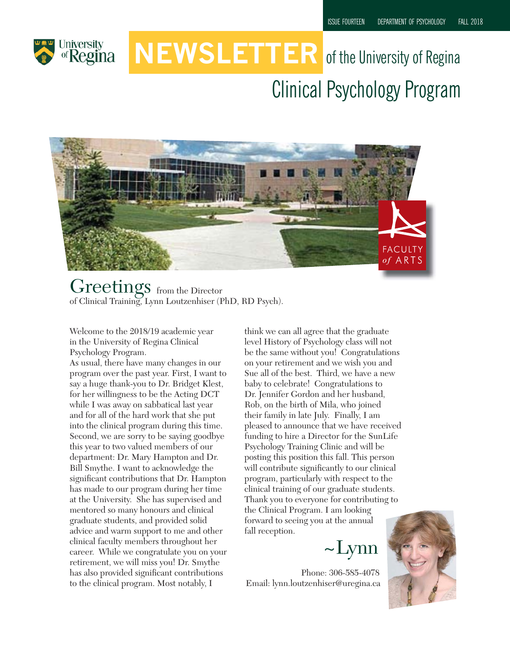

# **NEWSLETTER** of the University of Regina Clinical Psychology Program



Greetings from the Director of Clinical Training, Lynn Loutzenhiser (PhD, RD Psych).

Welcome to the 2018/19 academic year in the University of Regina Clinical Psychology Program.

As usual, there have many changes in our program over the past year. First, I want to say a huge thank-you to Dr. Bridget Klest, for her willingness to be the Acting DCT while I was away on sabbatical last year and for all of the hard work that she put into the clinical program during this time. Second, we are sorry to be saying goodbye this year to two valued members of our department: Dr. Mary Hampton and Dr. Bill Smythe. I want to acknowledge the significant contributions that Dr. Hampton has made to our program during her time at the University. She has supervised and mentored so many honours and clinical graduate students, and provided solid advice and warm support to me and other clinical faculty members throughout her career. While we congratulate you on your retirement, we will miss you! Dr. Smythe has also provided significant contributions to the clinical program. Most notably, I

think we can all agree that the graduate level History of Psychology class will not be the same without you! Congratulations on your retirement and we wish you and Sue all of the best. Third, we have a new baby to celebrate! Congratulations to Dr. Jennifer Gordon and her husband, Rob, on the birth of Mila, who joined their family in late July. Finally, I am pleased to announce that we have received funding to hire a Director for the SunLife Psychology Training Clinic and will be posting this position this fall. This person will contribute significantly to our clinical program, particularly with respect to the clinical training of our graduate students. Thank you to everyone for contributing to the Clinical Program. I am looking forward to seeing you at the annual

~Lynn

Phone: 306-585-4078 Email: lynn.loutzenhiser@uregina.ca

fall reception.

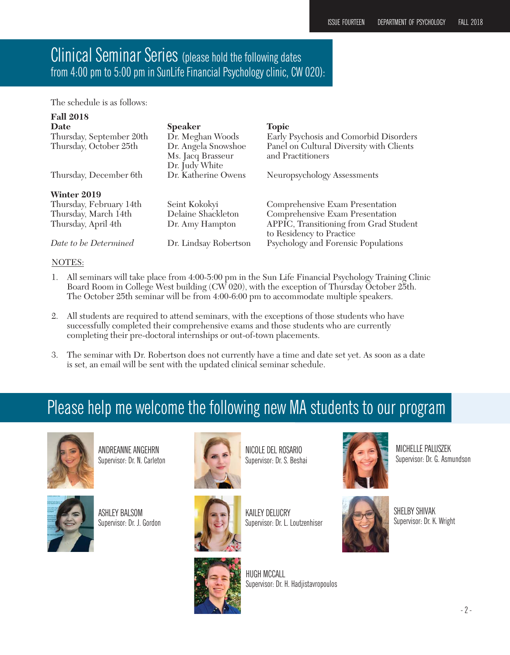#### Clinical Seminar Series (please hold the following dates from 4:00 pm to 5:00 pm in SunLife Financial Psychology clinic, CW 020):

The schedule is as follows:

| <b>Fall 2018</b>         |                                                            |                                                                    |
|--------------------------|------------------------------------------------------------|--------------------------------------------------------------------|
| <b>Date</b>              | <b>Speaker</b>                                             | <b>Topic</b>                                                       |
| Thursday, September 20th | Dr. Meghan Woods                                           | Early Psychosis and Comorbid Disorders                             |
| Thursday, October 25th   | Dr. Angela Snowshoe<br>Ms. Jacq Brasseur<br>Dr. Judy White | Panel on Cultural Diversity with Clients<br>and Practitioners      |
| Thursday, December 6th   | Dr. Katherine Owens                                        | Neuropsychology Assessments                                        |
| Winter 2019              |                                                            |                                                                    |
| Thursday, February 14th  | Seint Kokokyi                                              | Comprehensive Exam Presentation                                    |
| Thursday, March 14th     | Delaine Shackleton                                         | Comprehensive Exam Presentation                                    |
| Thursday, April 4th      | Dr. Amy Hampton                                            | APPIC, Transitioning from Grad Student<br>to Residency to Practice |
| Date to be Determined    | Dr. Lindsay Robertson                                      | Psychology and Forensic Populations                                |

#### NOTES:

- 1. All seminars will take place from 4:00-5:00 pm in the Sun Life Financial Psychology Training Clinic Board Room in College West building (CW 020), with the exception of Thursday October 25th. The October 25th seminar will be from 4:00-6:00 pm to accommodate multiple speakers.
- 2. All students are required to attend seminars, with the exceptions of those students who have successfully completed their comprehensive exams and those students who are currently completing their pre-doctoral internships or out-of-town placements.
- 3. The seminar with Dr. Robertson does not currently have a time and date set yet. As soon as a date is set, an email will be sent with the updated clinical seminar schedule.

## Please help me welcome the following new MA students to our program



ANDREANNE ANGEHRN Supervisor: Dr. N. Carleton



ASHLEY BALSOM Supervisor: Dr. J. Gordon



NICOLE DEL ROSARIO Supervisor: Dr. S. Beshai



KAILEY DELUCRY Supervisor: Dr. L. Loutzenhiser







MICHELLE PALUSZEK Supervisor: Dr. G. Asmundson

SHELBY SHIVAK Supervisor: Dr. K. Wright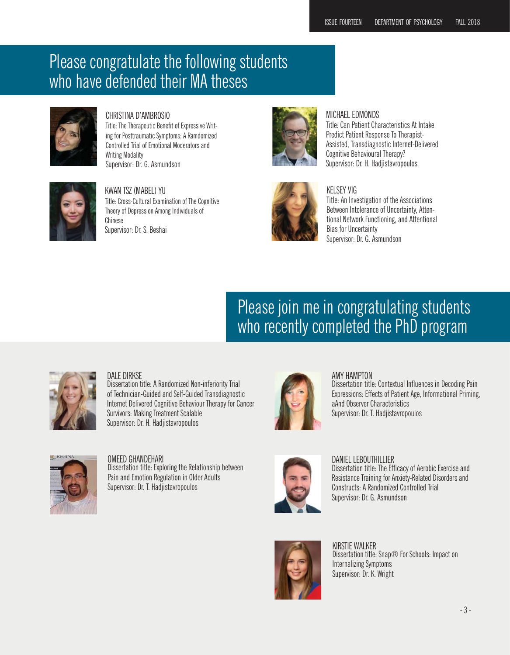### Please congratulate the following students who have defended their MA theses



CHRISTINA D'AMBROSIO Title: The Therapeutic Benefit of Expressive Writing for Posttraumatic Symptoms: A Ramdomized Controlled Trial of Emotional Moderators and Writing Modality Supervisor: Dr. G. Asmundson



KWAN TSZ (MABEL) YU Title: Cross-Cultural Examination of The Cognitive Theory of Depression Among Individuals of Chinese Supervisor: Dr. S. Beshai





#### MICHAEL EDMONDS

Title: Can Patient Characteristics At Intake Predict Patient Response To Therapist-Assisted, Transdiagnostic Internet-Delivered Cognitive Behavioural Therapy? Supervisor: Dr. H. Hadjistavropoulos



#### KELSEY VIG

Title: An Investigation of the Associations Between Intolerance of Uncertainty, Attentional Network Functioning, and Attentional Bias for Uncertainty Supervisor: Dr. G. Asmundson

### Please join me in congratulating students who recently completed the PhD program



#### DAI F DIRKSF

Dissertation title: A Randomized Non-inferiority Trial of Technician-Guided and Self-Guided Transdiagnostic Internet Delivered Cognitive Behaviour Therapy for Cancer Survivors: Making Treatment Scalable Supervisor: Dr. H. Hadjistavropoulos



#### OMEED GHANDEHARI

Dissertation title: Exploring the Relationship between Pain and Emotion Regulation in Older Adults Supervisor: Dr. T. Hadjistavropoulos



#### AMY HAMPTON Dissertation title: Contextual Influences in Decoding Pain Expressions: Effects of Patient Age, Informational Priming, aAnd Observer Characteristics Supervisor: Dr. T. Hadjistavropoulos



DANIEL LEBOUTHILLIER Dissertation title: The Efficacy of Aerobic Exercise and Resistance Training for Anxiety-Related Disorders and Constructs: A Randomized Controlled Trial Supervisor: Dr. G. Asmundson



KIRSTIF WAI KFR Dissertation title: Snap® For Schools: Impact on Internalizing Symptoms Supervisor: Dr. K. Wright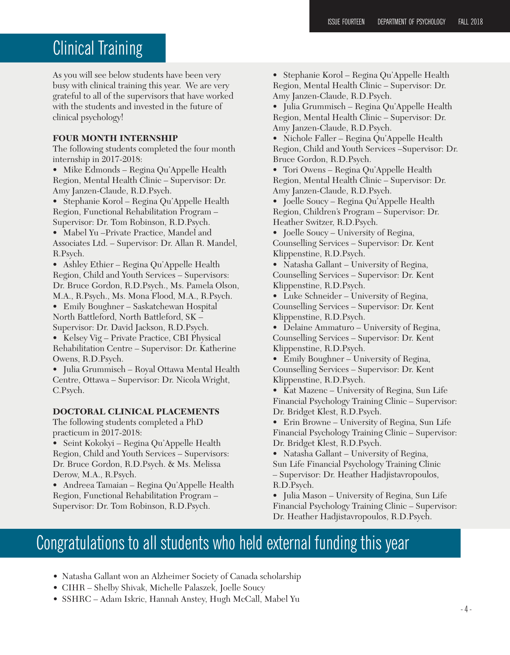### Clinical Training

As you will see below students have been very busy with clinical training this year. We are very grateful to all of the supervisors that have worked with the students and invested in the future of clinical psychology!

#### **FOUR MONTH INTERNSHIP**

The following students completed the four month internship in 2017-2018:

• Mike Edmonds – Regina Qu'Appelle Health Region, Mental Health Clinic – Supervisor: Dr. Amy Janzen-Claude, R.D.Psych.

• Stephanie Korol – Regina Qu'Appelle Health Region, Functional Rehabilitation Program – Supervisor: Dr. Tom Robinson, R.D.Psych.

• Mabel Yu –Private Practice, Mandel and Associates Ltd. – Supervisor: Dr. Allan R. Mandel, R.Psych.

• Ashley Ethier – Regina Qu'Appelle Health Region, Child and Youth Services – Supervisors: Dr. Bruce Gordon, R.D.Psych., Ms. Pamela Olson, M.A., R.Psych., Ms. Mona Flood, M.A., R.Psych.

• Emily Boughner – Saskatchewan Hospital North Battleford, North Battleford, SK – Supervisor: Dr. David Jackson, R.D.Psych.

• Kelsey Vig – Private Practice, CBI Physical Rehabilitation Centre – Supervisor: Dr. Katherine Owens, R.D.Psych.

• Julia Grummisch – Royal Ottawa Mental Health Centre, Ottawa – Supervisor: Dr. Nicola Wright, C.Psych.

**DOCTORAL CLINICAL PLACEMENTS**

The following students completed a PhD practicum in 2017-2018:

• Seint Kokokyi – Regina Qu'Appelle Health Region, Child and Youth Services – Supervisors: Dr. Bruce Gordon, R.D.Psych. & Ms. Melissa Derow, M.A., R.Psych.

• Andreea Tamaian – Regina Qu'Appelle Health Region, Functional Rehabilitation Program – Supervisor: Dr. Tom Robinson, R.D.Psych.

• Stephanie Korol – Regina Qu'Appelle Health Region, Mental Health Clinic – Supervisor: Dr. Amy Janzen-Claude, R.D.Psych.

• Julia Grummisch – Regina Qu'Appelle Health Region, Mental Health Clinic – Supervisor: Dr. Amy Janzen-Claude, R.D.Psych.

• Nichole Faller – Regina Qu'Appelle Health Region, Child and Youth Services –Supervisor: Dr. Bruce Gordon, R.D.Psych.

• Tori Owens – Regina Qu'Appelle Health Region, Mental Health Clinic – Supervisor: Dr. Amy Janzen-Claude, R.D.Psych.

• Joelle Soucy – Regina Qu'Appelle Health Region, Children's Program – Supervisor: Dr. Heather Switzer, R.D.Psych.

• Joelle Soucy – University of Regina, Counselling Services – Supervisor: Dr. Kent Klippenstine, R.D.Psych.

• Natasha Gallant – University of Regina, Counselling Services – Supervisor: Dr. Kent Klippenstine, R.D.Psych.

• Luke Schneider – University of Regina, Counselling Services – Supervisor: Dr. Kent Klippenstine, R.D.Psych.

• Delaine Ammaturo – University of Regina, Counselling Services – Supervisor: Dr. Kent Klippenstine, R.D.Psych.

• Emily Boughner – University of Regina, Counselling Services – Supervisor: Dr. Kent Klippenstine, R.D.Psych.

• Kat Mazenc – University of Regina, Sun Life Financial Psychology Training Clinic – Supervisor: Dr. Bridget Klest, R.D.Psych.

• Erin Browne – University of Regina, Sun Life Financial Psychology Training Clinic – Supervisor: Dr. Bridget Klest, R.D.Psych.

• Natasha Gallant – University of Regina, Sun Life Financial Psychology Training Clinic – Supervisor: Dr. Heather Hadjistavropoulos, R.D.Psych.

• Julia Mason – University of Regina, Sun Life Financial Psychology Training Clinic – Supervisor: Dr. Heather Hadjistavropoulos, R.D.Psych.

## Congratulations to all students who held external funding this year

- Natasha Gallant won an Alzheimer Society of Canada scholarship
- CIHR Shelby Shivak, Michelle Palaszek, Joelle Soucy
- SSHRC Adam Iskric, Hannah Anstey, Hugh McCall, Mabel Yu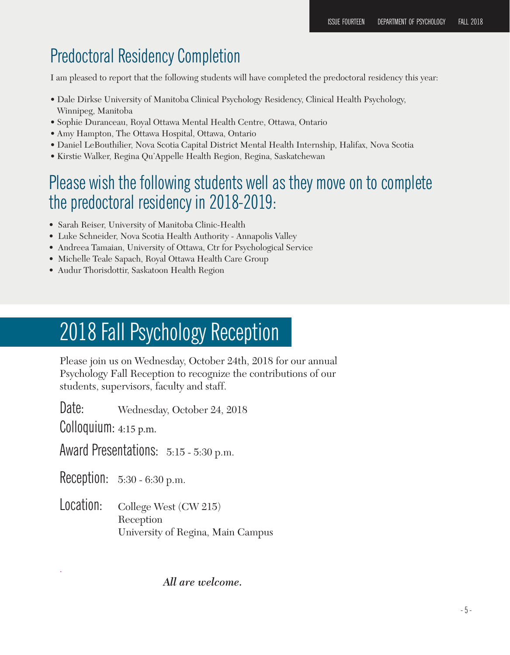### Predoctoral Residency Completion

I am pleased to report that the following students will have completed the predoctoral residency this year:

- Dale Dirkse University of Manitoba Clinical Psychology Residency, Clinical Health Psychology, Winnipeg, Manitoba
- Sophie Duranceau, Royal Ottawa Mental Health Centre, Ottawa, Ontario
- Amy Hampton, The Ottawa Hospital, Ottawa, Ontario
- Daniel LeBouthilier, Nova Scotia Capital District Mental Health Internship, Halifax, Nova Scotia
- Kirstie Walker, Regina Qu'Appelle Health Region, Regina, Saskatchewan

### Please wish the following students well as they move on to complete the predoctoral residency in 2018-2019:

- Sarah Reiser, University of Manitoba Clinic-Health
- Luke Schneider, Nova Scotia Health Authority Annapolis Valley
- Andreea Tamaian, University of Ottawa, Ctr for Psychological Service
- Michelle Teale Sapach, Royal Ottawa Health Care Group
- Audur Thorisdottir, Saskatoon Health Region

## 2018 Fall Psychology Reception

Please join us on Wednesday, October 24th, 2018 for our annual Psychology Fall Reception to recognize the contributions of our students, supervisors, faculty and staff.

Date: Wednesday, October 24, 2018

Colloquium: 4:15 p.m.

.

Award Presentations: 5:15 - 5:30 p.m.

Reception: 5:30 - 6:30 p.m.

Location: College West (CW 215) Reception University of Regina, Main Campus

#### *All are welcome.*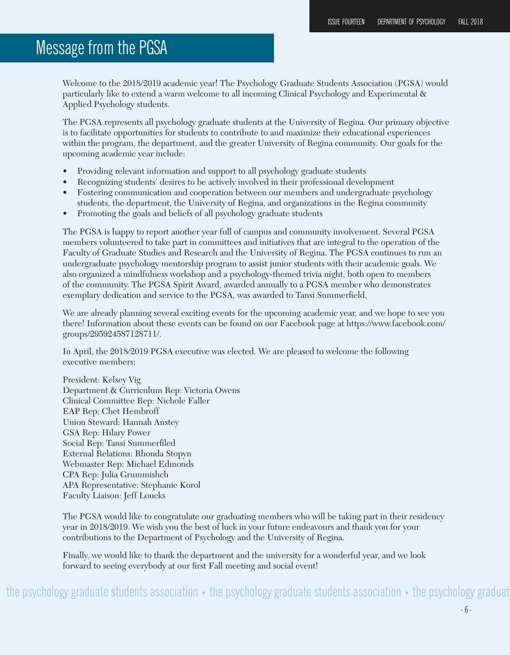### Message from the PGSA

Welcome to the 2018/2019 academic year! The Psychology Graduate Students Association (PGSA) would particularly like to extend a warm welcome to all incoming Clinical Psychology and Experimental & Applied Psychology students.

The PGSA represents all psychology graduate students at the University of Regina. Our primary objective is to facilitate opportunities for students to contribute to and maximize their educational experiences within the program, the department, and the greater University of Regina community. Our goals for the upcoming academic year include:

- Providing relevant information and support to all psychology graduate students
- Recognizing students' desires to be actively involved in their professional development
- Fostering communication and cooperation between our members and undergraduate psychology students, the department, the University of Regina, and organizations in the Regina community
- Promoting the goals and beliefs of all psychology graduate students

The PGSA is happy to report another year full of campus and community involvement. Several PGSA members volunteered to take part in committees and initiatives that are integral to the operation of the Faculty of Graduate Studies and Research and the University of Regina. The PGSA continues to run an undergraduate psychology mentorship program to assist junior students with their academic goals. We also organized a mindfulness workshop and a psychology-themed trivia night, both open to members of the community. The PGSA Spirit Award, awarded annually to a PGSA member who demonstrates exemplary dedication and service to the PGSA, was awarded to Tansi Summerfield.

We are already planning several exciting events for the upcoming academic year, and we hope to see you there! Information about these events can be found on our Facebook page at https://www.facebook.com/ groups/295924587128711/.

In April, the 2018/2019 PGSA executive was elected. We are pleased to welcome the following executive members:

President: Kelsey Vig Department & Curriculum Rep: Victoria Owens Clinical Committee Rep: Nichole Faller EAP Rep: Chet Hembroff Union Steward: Hannah Anstey GSA Rep: Hilary Power Social Rep: Tansi Summerfiled External Relations: Rhonda Stopyn Webmaster Rep: Michael Edmonds CPA Rep: Julia Grummishch APA Representative: Stephanie Korol Faculty Liaison: Jeff Loucks

The PGSA would like to congratulate our graduating members who will be taking part in their residency year in 2018/2019. We wish you the best of luck in your future endeavours and thank you for your contributions to the Department of Psychology and the University of Regina.

Finally, we would like to thank the department and the university for a wonderful year, and we look forward to seeing everybody at our first Fall meeting and social event!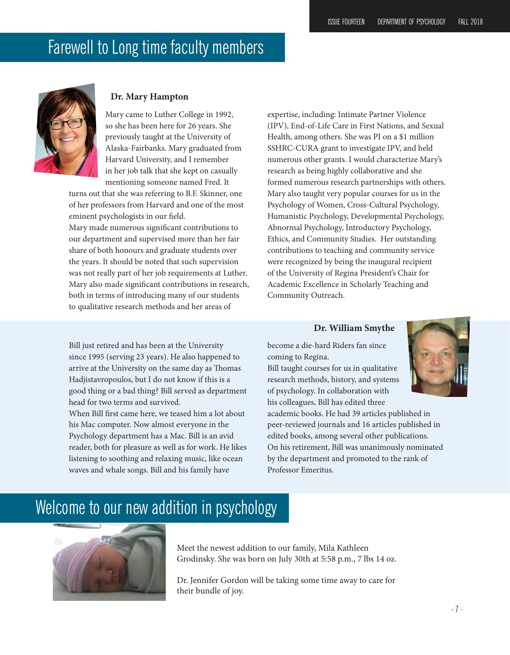### Farewell to Long time faculty members



#### **Dr. Mary Hampton**

Mary came to Luther College in 1992, so she has been here for 26 years. She previously taught at the University of Alaska-Fairbanks. Mary graduated from Harvard University, and I remember in her job talk that she kept on casually mentioning someone named Fred. It

turns out that she was referring to B.F. Skinner, one of her professors from Harvard and one of the most eminent psychologists in our field.

Mary made numerous significant contributions to our department and supervised more than her fair share of both honours and graduate students over the years. It should be noted that such supervision was not really part of her job requirements at Luther. Mary also made significant contributions in research, both in terms of introducing many of our students to qualitative research methods and her areas of

Bill just retired and has been at the University since 1995 (serving 23 years). He also happened to arrive at the University on the same day as Thomas Hadjistavropoulos, but I do not know if this is a good thing or a bad thing? Bill served as department

head for two terms and survived.

expertise, including: Intimate Partner Violence (IPV), End-of-Life Care in First Nations, and Sexual Health, among others. She was PI on a \$1 million SSHRC-CURA grant to investigate IPV, and held numerous other grants. I would characterize Mary's research as being highly collaborative and she formed numerous research partnerships with others. Mary also taught very popular courses for us in the Psychology of Women, Cross-Cultural Psychology, Humanistic Psychology, Developmental Psychology, Abnormal Psychology, Introductory Psychology, Ethics, and Community Studies. Her outstanding contributions to teaching and community service were recognized by being the inaugural recipient of the University of Regina President's Chair for Academic Excellence in Scholarly Teaching and Community Outreach.

#### **Dr. William Smythe**

become a die-hard Riders fan since coming to Regina.

Bill taught courses for us in qualitative research methods, history, and systems of psychology. In collaboration with his colleagues, Bill has edited three

academic books. He had 39 articles published in peer-reviewed journals and 16 articles published in edited books, among several other publications. On his retirement, Bill was unanimously nominated by the department and promoted to the rank of Professor Emeritus.



Welcome to our new addition in psychology

When Bill first came here, we teased him a lot about his Mac computer. Now almost everyone in the Psychology department has a Mac. Bill is an avid reader, both for pleasure as well as for work. He likes listening to soothing and relaxing music, like ocean waves and whale songs. Bill and his family have



Meet the newest addition to our family, Mila Kathleen Grodinsky. She was born on July 30th at 5:58 p.m., 7 lbs 14 oz.

Dr. Jennifer Gordon will be taking some time away to care for their bundle of joy.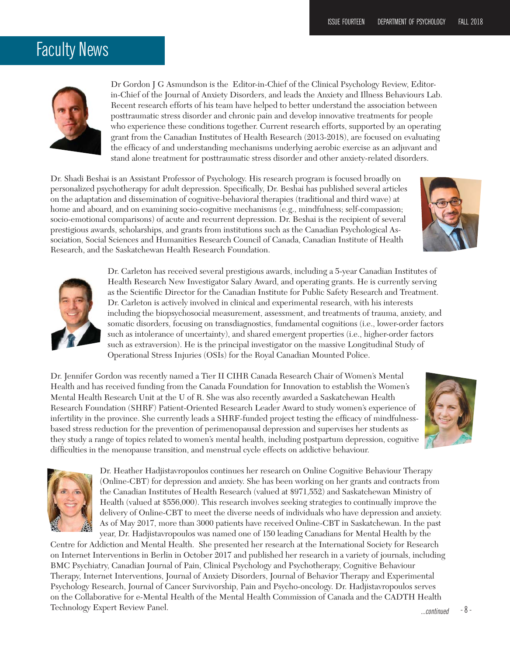### Faculty News



Dr Gordon J G Asmundson is the Editor-in-Chief of the Clinical Psychology Review, Editorin-Chief of the Journal of Anxiety Disorders, and leads the Anxiety and Illness Behaviours Lab. Recent research efforts of his team have helped to better understand the association between posttraumatic stress disorder and chronic pain and develop innovative treatments for people who experience these conditions together. Current research efforts, supported by an operating grant from the Canadian Institutes of Health Research (2013-2018), are focused on evaluating the efficacy of and understanding mechanisms underlying aerobic exercise as an adjuvant and stand alone treatment for posttraumatic stress disorder and other anxiety-related disorders.

Dr. Shadi Beshai is an Assistant Professor of Psychology. His research program is focused broadly on personalized psychotherapy for adult depression. Specifically, Dr. Beshai has published several articles on the adaptation and dissemination of cognitive-behavioral therapies (traditional and third wave) at home and aboard, and on examining socio-cognitive mechanisms (e.g., mindfulness; self-compassion; socio-emotional comparisons) of acute and recurrent depression. Dr. Beshai is the recipient of several prestigious awards, scholarships, and grants from institutions such as the Canadian Psychological Association, Social Sciences and Humanities Research Council of Canada, Canadian Institute of Health Research, and the Saskatchewan Health Research Foundation.





Dr. Carleton has received several prestigious awards, including a 5-year Canadian Institutes of Health Research New Investigator Salary Award, and operating grants. He is currently serving as the Scientific Director for the Canadian Institute for Public Safety Research and Treatment. Dr. Carleton is actively involved in clinical and experimental research, with his interests including the biopsychosocial measurement, assessment, and treatments of trauma, anxiety, and somatic disorders, focusing on transdiagnostics, fundamental cognitions (i.e., lower-order factors such as intolerance of uncertainty), and shared emergent properties (i.e., higher-order factors such as extraversion). He is the principal investigator on the massive Longitudinal Study of Operational Stress Injuries (OSIs) for the Royal Canadian Mounted Police.

Dr. Jennifer Gordon was recently named a Tier II CIHR Canada Research Chair of Women's Mental Health and has received funding from the Canada Foundation for Innovation to establish the Women's Mental Health Research Unit at the U of R. She was also recently awarded a Saskatchewan Health Research Foundation (SHRF) Patient-Oriented Research Leader Award to study women's experience of infertility in the province. She currently leads a SHRF-funded project testing the efficacy of mindfulnessbased stress reduction for the prevention of perimenopausal depression and supervises her students as they study a range of topics related to women's mental health, including postpartum depression, cognitive difficulties in the menopause transition, and menstrual cycle effects on addictive behaviour.





Dr. Heather Hadjistavropoulos continues her research on Online Cognitive Behaviour Therapy (Online-CBT) for depression and anxiety. She has been working on her grants and contracts from the Canadian Institutes of Health Research (valued at \$971,552) and Saskatchewan Ministry of Health (valued at \$556,000). This research involves seeking strategies to continually improve the delivery of Online-CBT to meet the diverse needs of individuals who have depression and anxiety. As of May 2017, more than 3000 patients have received Online-CBT in Saskatchewan. In the past year, Dr. Hadjistavropoulos was named one of 150 leading Canadians for Mental Health by the

Centre for Addiction and Mental Health. She presented her research at the International Society for Research on Internet Interventions in Berlin in October 2017 and published her research in a variety of journals, including BMC Psychiatry, Canadian Journal of Pain, Clinical Psychology and Psychotherapy, Cognitive Behaviour Therapy, Internet Interventions, Journal of Anxiety Disorders, Journal of Behavior Therapy and Experimental Psychology Research, Journal of Cancer Survivorship, Pain and Psycho-oncology. Dr. Hadjistavropoulos serves on the Collaborative for e-Mental Health of the Mental Health Commission of Canada and the CADTH Health Technology Expert Review Panel.  $\overline{\phantom{a}}$  - 8 -